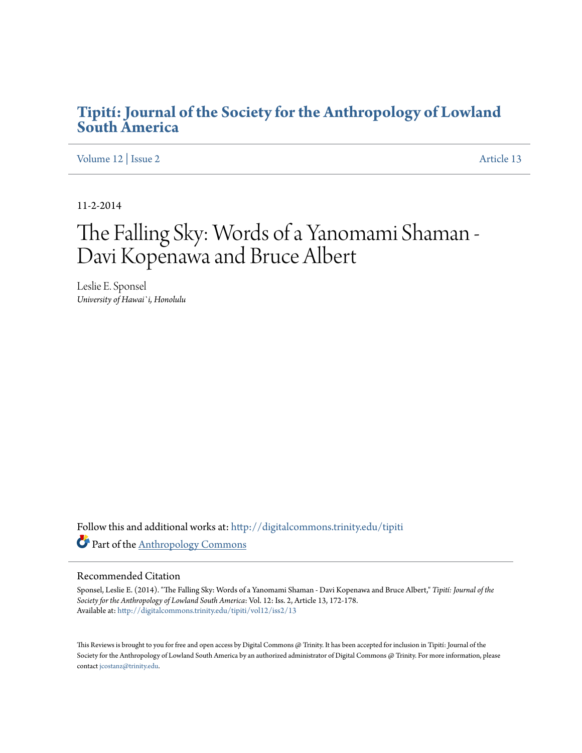## **[Tipití: Journal of the Society for the Anthropology of Lowland](http://digitalcommons.trinity.edu/tipiti?utm_source=digitalcommons.trinity.edu%2Ftipiti%2Fvol12%2Fiss2%2F13&utm_medium=PDF&utm_campaign=PDFCoverPages) [South America](http://digitalcommons.trinity.edu/tipiti?utm_source=digitalcommons.trinity.edu%2Ftipiti%2Fvol12%2Fiss2%2F13&utm_medium=PDF&utm_campaign=PDFCoverPages)**

[Volume 12](http://digitalcommons.trinity.edu/tipiti/vol12?utm_source=digitalcommons.trinity.edu%2Ftipiti%2Fvol12%2Fiss2%2F13&utm_medium=PDF&utm_campaign=PDFCoverPages) | [Issue 2](http://digitalcommons.trinity.edu/tipiti/vol12/iss2?utm_source=digitalcommons.trinity.edu%2Ftipiti%2Fvol12%2Fiss2%2F13&utm_medium=PDF&utm_campaign=PDFCoverPages) [Article 13](http://digitalcommons.trinity.edu/tipiti/vol12/iss2/13?utm_source=digitalcommons.trinity.edu%2Ftipiti%2Fvol12%2Fiss2%2F13&utm_medium=PDF&utm_campaign=PDFCoverPages)

11-2-2014

# The Falling Sky: Words of a Yanomami Shaman - Davi Kopenawa and Bruce Albert

Leslie E. Sponsel *University of Hawai`i, Honolulu*

Follow this and additional works at: [http://digitalcommons.trinity.edu/tipiti](http://digitalcommons.trinity.edu/tipiti?utm_source=digitalcommons.trinity.edu%2Ftipiti%2Fvol12%2Fiss2%2F13&utm_medium=PDF&utm_campaign=PDFCoverPages) Part of the [Anthropology Commons](http://network.bepress.com/hgg/discipline/318?utm_source=digitalcommons.trinity.edu%2Ftipiti%2Fvol12%2Fiss2%2F13&utm_medium=PDF&utm_campaign=PDFCoverPages)

### Recommended Citation

Sponsel, Leslie E. (2014). "The Falling Sky: Words of a Yanomami Shaman - Davi Kopenawa and Bruce Albert," *Tipití: Journal of the Society for the Anthropology of Lowland South America*: Vol. 12: Iss. 2, Article 13, 172-178. Available at: [http://digitalcommons.trinity.edu/tipiti/vol12/iss2/13](http://digitalcommons.trinity.edu/tipiti/vol12/iss2/13?utm_source=digitalcommons.trinity.edu%2Ftipiti%2Fvol12%2Fiss2%2F13&utm_medium=PDF&utm_campaign=PDFCoverPages)

This Reviews is brought to you for free and open access by Digital Commons @ Trinity. It has been accepted for inclusion in Tipití: Journal of the Society for the Anthropology of Lowland South America by an authorized administrator of Digital Commons @ Trinity. For more information, please contact [jcostanz@trinity.edu.](mailto:jcostanz@trinity.edu)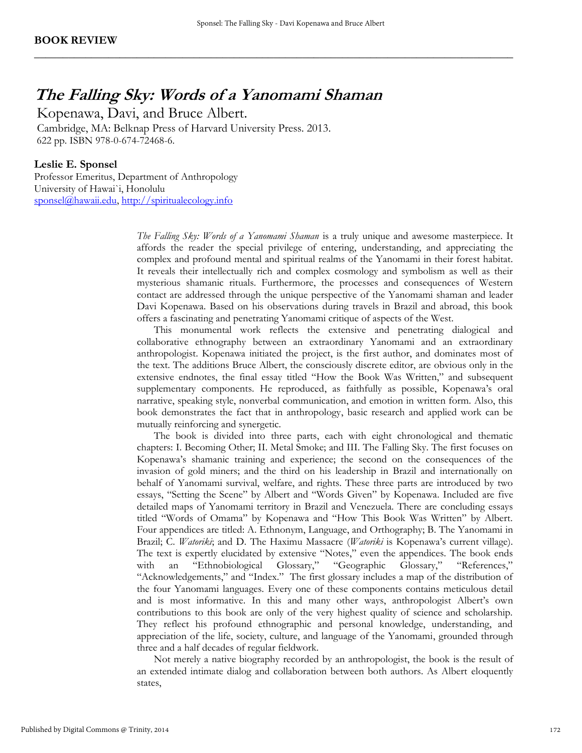**\_\_\_\_\_\_\_\_\_\_\_\_\_\_\_\_\_\_\_\_\_\_\_\_\_\_\_\_\_\_\_\_\_\_\_\_\_\_\_\_\_\_\_\_\_\_\_\_\_\_\_\_\_\_\_\_\_\_\_\_\_\_\_\_\_\_\_\_\_\_\_\_\_\_\_\_\_\_\_\_\_\_\_\_** 

## **The Falling Sky: Words of a Yanomami Shaman**

Kopenawa, Davi, and Bruce Albert.

 Cambridge, MA: Belknap Press of Harvard University Press. 2013. 622 pp. ISBN 978-0-674-72468-6.

## **Leslie E. Sponsel**

Professor Emeritus, Department of Anthropology University of Hawai`i, Honolulu [sponsel@hawaii.edu,](mailto:sponsel@hawaii.edu) [http://spiritualecology.info](http://spiritualecology.info/)

> *The Falling Sky: Words of a Yanomami Shaman* is a truly unique and awesome masterpiece. It affords the reader the special privilege of entering, understanding, and appreciating the complex and profound mental and spiritual realms of the Yanomami in their forest habitat. It reveals their intellectually rich and complex cosmology and symbolism as well as their mysterious shamanic rituals. Furthermore, the processes and consequences of Western contact are addressed through the unique perspective of the Yanomami shaman and leader Davi Kopenawa. Based on his observations during travels in Brazil and abroad, this book offers a fascinating and penetrating Yanomami critique of aspects of the West.

> This monumental work reflects the extensive and penetrating dialogical and collaborative ethnography between an extraordinary Yanomami and an extraordinary anthropologist. Kopenawa initiated the project, is the first author, and dominates most of the text. The additions Bruce Albert, the consciously discrete editor, are obvious only in the extensive endnotes, the final essay titled "How the Book Was Written," and subsequent supplementary components. He reproduced, as faithfully as possible, Kopenawa's oral narrative, speaking style, nonverbal communication, and emotion in written form. Also, this book demonstrates the fact that in anthropology, basic research and applied work can be mutually reinforcing and synergetic.

> The book is divided into three parts, each with eight chronological and thematic chapters: I. Becoming Other; II. Metal Smoke; and III. The Falling Sky. The first focuses on Kopenawa's shamanic training and experience; the second on the consequences of the invasion of gold miners; and the third on his leadership in Brazil and internationally on behalf of Yanomami survival, welfare, and rights. These three parts are introduced by two essays, "Setting the Scene" by Albert and "Words Given" by Kopenawa. Included are five detailed maps of Yanomami territory in Brazil and Venezuela. There are concluding essays titled "Words of Omama" by Kopenawa and "How This Book Was Written" by Albert. Four appendices are titled: A. Ethnonym, Language, and Orthography; B. The Yanomami in Brazil; C. *Watoriki*; and D. The Haximu Massacre (*Watoriki* is Kopenawa's current village). The text is expertly elucidated by extensive "Notes," even the appendices. The book ends with an "Ethnobiological Glossary," "Geographic Glossary," "References," "Acknowledgements," and "Index." The first glossary includes a map of the distribution of the four Yanomami languages. Every one of these components contains meticulous detail and is most informative. In this and many other ways, anthropologist Albert's own contributions to this book are only of the very highest quality of science and scholarship. They reflect his profound ethnographic and personal knowledge, understanding, and appreciation of the life, society, culture, and language of the Yanomami, grounded through three and a half decades of regular fieldwork.

> Not merely a native biography recorded by an anthropologist, the book is the result of an extended intimate dialog and collaboration between both authors. As Albert eloquently states,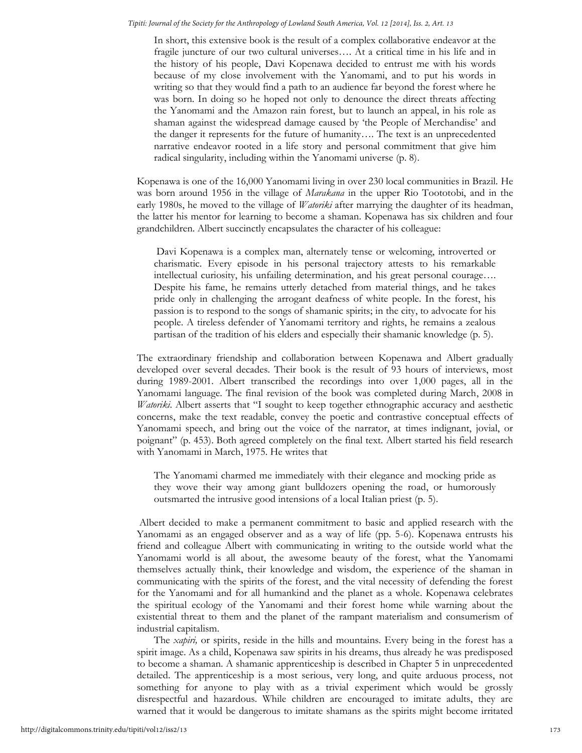In short, this extensive book is the result of a complex collaborative endeavor at the fragile juncture of our two cultural universes…. At a critical time in his life and in the history of his people, Davi Kopenawa decided to entrust me with his words because of my close involvement with the Yanomami, and to put his words in writing so that they would find a path to an audience far beyond the forest where he was born. In doing so he hoped not only to denounce the direct threats affecting the Yanomami and the Amazon rain forest, but to launch an appeal, in his role as shaman against the widespread damage caused by 'the People of Merchandise' and the danger it represents for the future of humanity…. The text is an unprecedented narrative endeavor rooted in a life story and personal commitment that give him radical singularity, including within the Yanomami universe (p. 8).

Kopenawa is one of the 16,000 Yanomami living in over 230 local communities in Brazil. He was born around 1956 in the village of *Marakana* in the upper Rio Toototobi, and in the early 1980s, he moved to the village of *Watoriki* after marrying the daughter of its headman, the latter his mentor for learning to become a shaman. Kopenawa has six children and four grandchildren. Albert succinctly encapsulates the character of his colleague:

 Davi Kopenawa is a complex man, alternately tense or welcoming, introverted or charismatic. Every episode in his personal trajectory attests to his remarkable intellectual curiosity, his unfailing determination, and his great personal courage…. Despite his fame, he remains utterly detached from material things, and he takes pride only in challenging the arrogant deafness of white people. In the forest, his passion is to respond to the songs of shamanic spirits; in the city, to advocate for his people. A tireless defender of Yanomami territory and rights, he remains a zealous partisan of the tradition of his elders and especially their shamanic knowledge (p. 5).

The extraordinary friendship and collaboration between Kopenawa and Albert gradually developed over several decades. Their book is the result of 93 hours of interviews, most during 1989-2001. Albert transcribed the recordings into over 1,000 pages, all in the Yanomami language. The final revision of the book was completed during March, 2008 in *Watoriki*. Albert asserts that "I sought to keep together ethnographic accuracy and aesthetic concerns, make the text readable, convey the poetic and contrastive conceptual effects of Yanomami speech, and bring out the voice of the narrator, at times indignant, jovial, or poignant" (p. 453). Both agreed completely on the final text. Albert started his field research with Yanomami in March, 1975. He writes that

The Yanomami charmed me immediately with their elegance and mocking pride as they wove their way among giant bulldozers opening the road, or humorously outsmarted the intrusive good intensions of a local Italian priest (p. 5).

 Albert decided to make a permanent commitment to basic and applied research with the Yanomami as an engaged observer and as a way of life (pp. 5-6). Kopenawa entrusts his friend and colleague Albert with communicating in writing to the outside world what the Yanomami world is all about, the awesome beauty of the forest, what the Yanomami themselves actually think, their knowledge and wisdom, the experience of the shaman in communicating with the spirits of the forest, and the vital necessity of defending the forest for the Yanomami and for all humankind and the planet as a whole. Kopenawa celebrates the spiritual ecology of the Yanomami and their forest home while warning about the existential threat to them and the planet of the rampant materialism and consumerism of industrial capitalism.

 The *xapiri,* or spirits, reside in the hills and mountains. Every being in the forest has a spirit image. As a child, Kopenawa saw spirits in his dreams, thus already he was predisposed to become a shaman. A shamanic apprenticeship is described in Chapter 5 in unprecedented detailed. The apprenticeship is a most serious, very long, and quite arduous process, not something for anyone to play with as a trivial experiment which would be grossly disrespectful and hazardous. While children are encouraged to imitate adults, they are warned that it would be dangerous to imitate shamans as the spirits might become irritated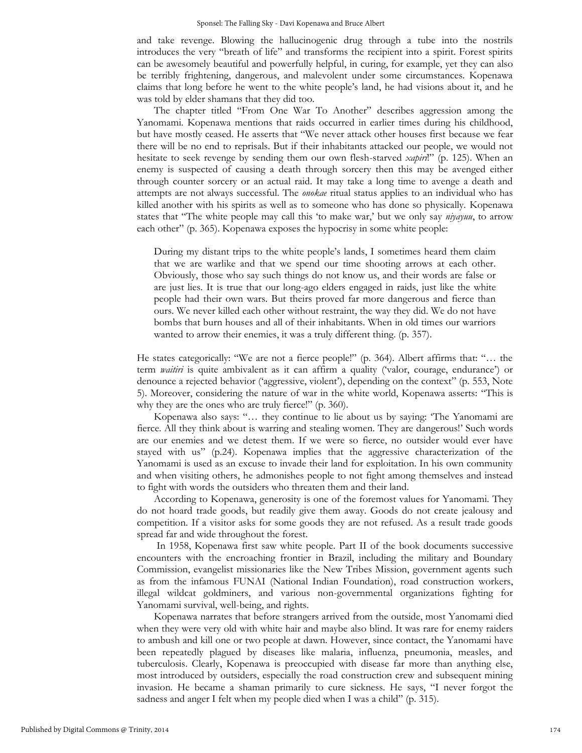and take revenge. Blowing the hallucinogenic drug through a tube into the nostrils introduces the very "breath of life" and transforms the recipient into a spirit. Forest spirits can be awesomely beautiful and powerfully helpful, in curing, for example, yet they can also be terribly frightening, dangerous, and malevolent under some circumstances. Kopenawa claims that long before he went to the white people's land, he had visions about it, and he was told by elder shamans that they did too.

The chapter titled "From One War To Another" describes aggression among the Yanomami. Kopenawa mentions that raids occurred in earlier times during his childhood, but have mostly ceased. He asserts that "We never attack other houses first because we fear there will be no end to reprisals. But if their inhabitants attacked our people, we would not hesitate to seek revenge by sending them our own flesh-starved *xapiri*!" (p. 125). When an enemy is suspected of causing a death through sorcery then this may be avenged either through counter sorcery or an actual raid. It may take a long time to avenge a death and attempts are not always successful. The *onokae* ritual status applies to an individual who has killed another with his spirits as well as to someone who has done so physically. Kopenawa states that "The white people may call this 'to make war,' but we only say *niyayuu*, to arrow each other" (p. 365). Kopenawa exposes the hypocrisy in some white people:

During my distant trips to the white people's lands, I sometimes heard them claim that we are warlike and that we spend our time shooting arrows at each other. Obviously, those who say such things do not know us, and their words are false or are just lies. It is true that our long-ago elders engaged in raids, just like the white people had their own wars. But theirs proved far more dangerous and fierce than ours. We never killed each other without restraint, the way they did. We do not have bombs that burn houses and all of their inhabitants. When in old times our warriors wanted to arrow their enemies, it was a truly different thing. (p. 357).

He states categorically: "We are not a fierce people!" (p. 364). Albert affirms that: "… the term *waitiri* is quite ambivalent as it can affirm a quality ('valor, courage, endurance') or denounce a rejected behavior ('aggressive, violent'), depending on the context" (p. 553, Note 5). Moreover, considering the nature of war in the white world, Kopenawa asserts: "This is why they are the ones who are truly fierce!" (p. 360).

Kopenawa also says: "… they continue to lie about us by saying: 'The Yanomami are fierce. All they think about is warring and stealing women. They are dangerous!' Such words are our enemies and we detest them. If we were so fierce, no outsider would ever have stayed with us" (p.24). Kopenawa implies that the aggressive characterization of the Yanomami is used as an excuse to invade their land for exploitation. In his own community and when visiting others, he admonishes people to not fight among themselves and instead to fight with words the outsiders who threaten them and their land.

 According to Kopenawa, generosity is one of the foremost values for Yanomami. They do not hoard trade goods, but readily give them away. Goods do not create jealousy and competition. If a visitor asks for some goods they are not refused. As a result trade goods spread far and wide throughout the forest.

 In 1958, Kopenawa first saw white people. Part II of the book documents successive encounters with the encroaching frontier in Brazil, including the military and Boundary Commission, evangelist missionaries like the New Tribes Mission, government agents such as from the infamous FUNAI (National Indian Foundation), road construction workers, illegal wildcat goldminers, and various non-governmental organizations fighting for Yanomami survival, well-being, and rights.

 Kopenawa narrates that before strangers arrived from the outside, most Yanomami died when they were very old with white hair and maybe also blind. It was rare for enemy raiders to ambush and kill one or two people at dawn. However, since contact, the Yanomami have been repeatedly plagued by diseases like malaria, influenza, pneumonia, measles, and tuberculosis. Clearly, Kopenawa is preoccupied with disease far more than anything else, most introduced by outsiders, especially the road construction crew and subsequent mining invasion. He became a shaman primarily to cure sickness. He says, "I never forgot the sadness and anger I felt when my people died when I was a child" (p. 315).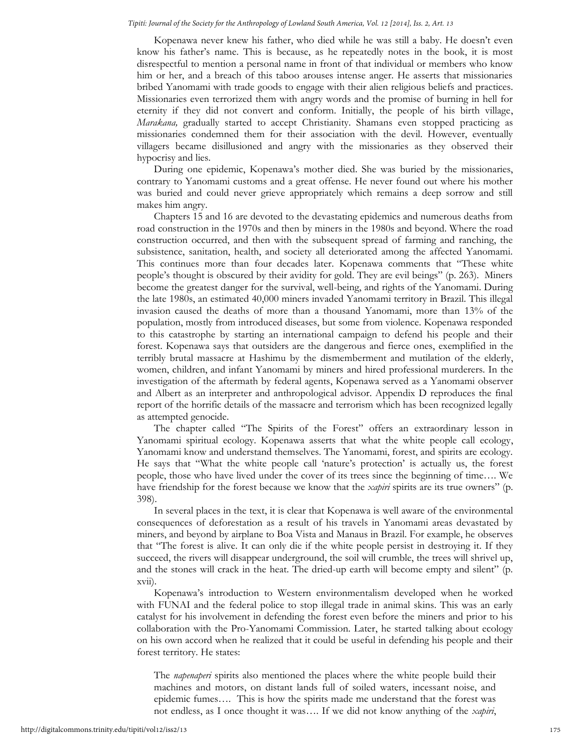### *Tipití: Journal of the Society for the Anthropology of Lowland South America, Vol. 12 [2014], Iss. 2, Art. 13*

 Kopenawa never knew his father, who died while he was still a baby. He doesn't even know his father's name. This is because, as he repeatedly notes in the book, it is most disrespectful to mention a personal name in front of that individual or members who know him or her, and a breach of this taboo arouses intense anger. He asserts that missionaries bribed Yanomami with trade goods to engage with their alien religious beliefs and practices. Missionaries even terrorized them with angry words and the promise of burning in hell for eternity if they did not convert and conform. Initially, the people of his birth village, *Marakana,* gradually started to accept Christianity. Shamans even stopped practicing as missionaries condemned them for their association with the devil. However, eventually villagers became disillusioned and angry with the missionaries as they observed their hypocrisy and lies.

 During one epidemic, Kopenawa's mother died. She was buried by the missionaries, contrary to Yanomami customs and a great offense. He never found out where his mother was buried and could never grieve appropriately which remains a deep sorrow and still makes him angry.

 Chapters 15 and 16 are devoted to the devastating epidemics and numerous deaths from road construction in the 1970s and then by miners in the 1980s and beyond. Where the road construction occurred, and then with the subsequent spread of farming and ranching, the subsistence, sanitation, health, and society all deteriorated among the affected Yanomami. This continues more than four decades later. Kopenawa comments that "These white people's thought is obscured by their avidity for gold. They are evil beings" (p. 263). Miners become the greatest danger for the survival, well-being, and rights of the Yanomami. During the late 1980s, an estimated 40,000 miners invaded Yanomami territory in Brazil. This illegal invasion caused the deaths of more than a thousand Yanomami, more than 13% of the population, mostly from introduced diseases, but some from violence. Kopenawa responded to this catastrophe by starting an international campaign to defend his people and their forest. Kopenawa says that outsiders are the dangerous and fierce ones, exemplified in the terribly brutal massacre at Hashimu by the dismemberment and mutilation of the elderly, women, children, and infant Yanomami by miners and hired professional murderers. In the investigation of the aftermath by federal agents, Kopenawa served as a Yanomami observer and Albert as an interpreter and anthropological advisor. Appendix D reproduces the final report of the horrific details of the massacre and terrorism which has been recognized legally as attempted genocide.

 The chapter called "The Spirits of the Forest" offers an extraordinary lesson in Yanomami spiritual ecology. Kopenawa asserts that what the white people call ecology, Yanomami know and understand themselves. The Yanomami, forest, and spirits are ecology. He says that "What the white people call 'nature's protection' is actually us, the forest people, those who have lived under the cover of its trees since the beginning of time…. We have friendship for the forest because we know that the *xapiri* spirits are its true owners" (p. 398).

 In several places in the text, it is clear that Kopenawa is well aware of the environmental consequences of deforestation as a result of his travels in Yanomami areas devastated by miners, and beyond by airplane to Boa Vista and Manaus in Brazil. For example, he observes that "The forest is alive. It can only die if the white people persist in destroying it. If they succeed, the rivers will disappear underground, the soil will crumble, the trees will shrivel up, and the stones will crack in the heat. The dried-up earth will become empty and silent" (p. xvii).

Kopenawa's introduction to Western environmentalism developed when he worked with FUNAI and the federal police to stop illegal trade in animal skins. This was an early catalyst for his involvement in defending the forest even before the miners and prior to his collaboration with the Pro-Yanomami Commission. Later, he started talking about ecology on his own accord when he realized that it could be useful in defending his people and their forest territory. He states:

The *napenaperi* spirits also mentioned the places where the white people build their machines and motors, on distant lands full of soiled waters, incessant noise, and epidemic fumes…. This is how the spirits made me understand that the forest was not endless, as I once thought it was…. If we did not know anything of the *xapiri*,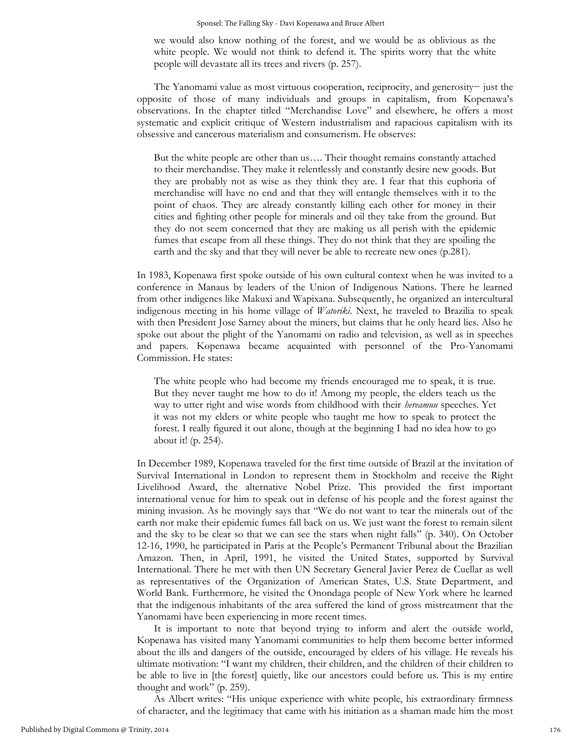#### Sponsel: The Falling Sky - Davi Kopenawa and Bruce Albert

we would also know nothing of the forest, and we would be as oblivious as the white people. We would not think to defend it. The spirits worry that the white people will devastate all its trees and rivers (p. 257).

 The Yanomami value as most virtuous cooperation, reciprocity, and generosity− just the opposite of those of many individuals and groups in capitalism, from Kopenawa's observations. In the chapter titled "Merchandise Love" and elsewhere, he offers a most systematic and explicit critique of Western industrialism and rapacious capitalism with its obsessive and cancerous materialism and consumerism. He observes:

But the white people are other than us…. Their thought remains constantly attached to their merchandise. They make it relentlessly and constantly desire new goods. But they are probably not as wise as they think they are. I fear that this euphoria of merchandise will have no end and that they will entangle themselves with it to the point of chaos. They are already constantly killing each other for money in their cities and fighting other people for minerals and oil they take from the ground. But they do not seem concerned that they are making us all perish with the epidemic fumes that escape from all these things. They do not think that they are spoiling the earth and the sky and that they will never be able to recreate new ones (p.281).

In 1983, Kopenawa first spoke outside of his own cultural context when he was invited to a conference in Manaus by leaders of the Union of Indigenous Nations. There he learned from other indigenes like Makuxi and Wapixana. Subsequently, he organized an intercultural indigenous meeting in his home village of *Watoriki*. Next, he traveled to Brazilia to speak with then President Jose Sarney about the miners, but claims that he only heard lies. Also he spoke out about the plight of the Yanomami on radio and television, as well as in speeches and papers. Kopenawa became acquainted with personnel of the Pro-Yanomami Commission. He states:

The white people who had become my friends encouraged me to speak, it is true. But they never taught me how to do it! Among my people, the elders teach us the way to utter right and wise words from childhood with their *hereamuu* speeches. Yet it was not my elders or white people who taught me how to speak to protect the forest. I really figured it out alone, though at the beginning I had no idea how to go about it! (p. 254).

In December 1989, Kopenawa traveled for the first time outside of Brazil at the invitation of Survival International in London to represent them in Stockholm and receive the Right Livelihood Award, the alternative Nobel Prize. This provided the first important international venue for him to speak out in defense of his people and the forest against the mining invasion. As he movingly says that "We do not want to tear the minerals out of the earth nor make their epidemic fumes fall back on us. We just want the forest to remain silent and the sky to be clear so that we can see the stars when night falls" (p. 340). On October 12-16, 1990, he participated in Paris at the People's Permanent Tribunal about the Brazilian Amazon. Then, in April, 1991, he visited the United States, supported by Survival International. There he met with then UN Secretary General Javier Perez de Cuellar as well as representatives of the Organization of American States, U.S. State Department, and World Bank. Furthermore, he visited the Onondaga people of New York where he learned that the indigenous inhabitants of the area suffered the kind of gross mistreatment that the Yanomami have been experiencing in more recent times.

 It is important to note that beyond trying to inform and alert the outside world, Kopenawa has visited many Yanomami communities to help them become better informed about the ills and dangers of the outside, encouraged by elders of his village. He reveals his ultimate motivation: "I want my children, their children, and the children of their children to be able to live in [the forest] quietly, like our ancestors could before us. This is my entire thought and work" (p. 259).

As Albert writes: "His unique experience with white people, his extraordinary firmness of character, and the legitimacy that came with his initiation as a shaman made him the most